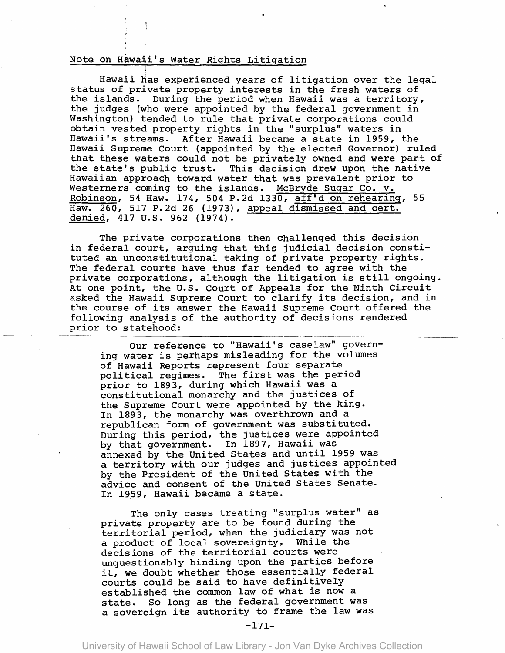## Note on Hawaii's Water Rights Litigation

Hawaii has experienced years of litigation over the legal status of private property interests in the fresh waters of the islands. During the period when Hawaii was a territory, the judges (who were appointed by the federal government in Washington) tended to rule that private corporations could obtain vested property rights in the "surplus" waters in Hawaii's streams. After Hawaii became a state in 1959, the Hawaii Supreme Court (appointed by the elected Governor) ruled that these waters could not be privately owned and were part of the state's public trust. This decision drew upon the native Hawaiian approach toward water that was prevalent prior to Westerners coming to the islands. McBryde Sugar Co. v. Robinson, 54 Haw. 174, 504 P.2d 1330, aff'd on rehearing, 55 Haw. 260, 517 P.2d 26 (1973), appeal dismissed and cert. denied, 417 u.s. 962 (1974).

The private corporations then challenged this decision in federal court, arguing that this judicial decision constituted an unconstitutional taking of private property rights. The federal courts have thus far tended to agree with the private corporations, although the litigation is still ongoing. At one point, the u.S. Court of Appeals for the Ninth Circuit asked the Hawaii Supreme Court to clarify its decision, and in the course of its answer the Hawaii Supreme Court offered the following analysis of the authority of decisions rendered prior to statehood:

Our reference to "Hawaii's caselaw" governing water is perhaps misleading for the volumes of Hawaii Reports represent four separate political regimes. The first was the period prior to 1893, during which Hawaii was a constitutional monarchy and the justices of the Supreme Court were appointed by the king. In 1893, the monarchy was overthrown and a republican form of government was substituted. During this period, the justices were appointed by that government. In 1897, Hawaii was annexed by the united States and until 1959 was a territory with our judges and justices appointed by the President of the United States with the advice and consent of the United States Senate. In 1959, Hawaii became a state.

The only cases treating "surplus water" as private property are to be found during the territorial period, when the judiciary was not a product of local sovereignty. While the decisions of the territorial courts were unquestionably binding upon the parties before it, we doubt whether those essentially federal courts could be said to have definitively established the common law of what is now a state. So long as the federal government was a sovereign its authority to frame the law was

-171-